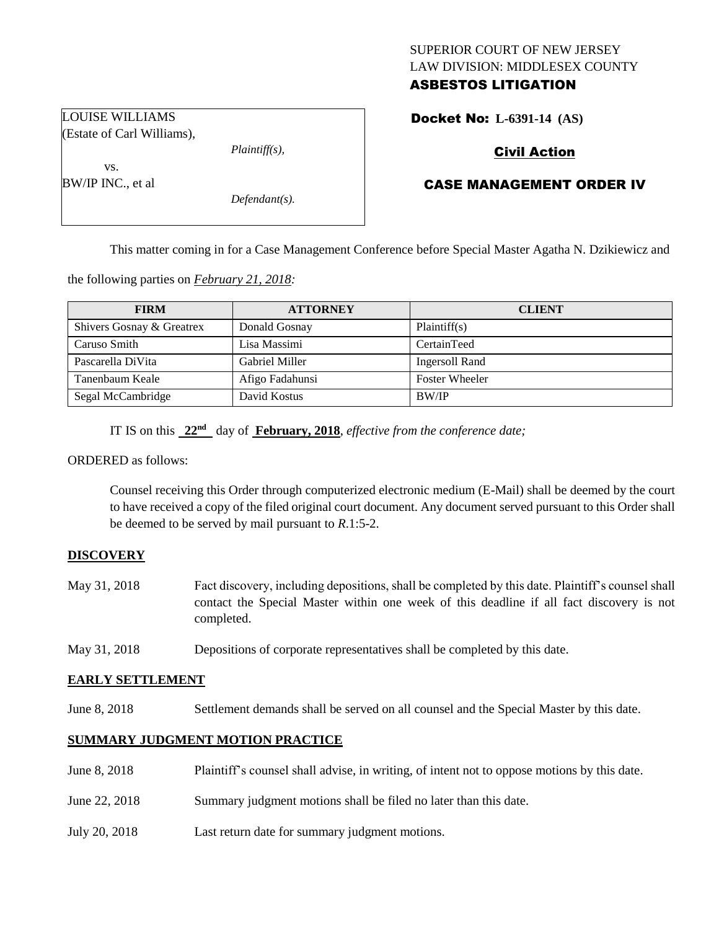# SUPERIOR COURT OF NEW JERSEY LAW DIVISION: MIDDLESEX COUNTY ASBESTOS LITIGATION

Docket No: **L-6391-14 (AS)** 

# Civil Action

# CASE MANAGEMENT ORDER IV

This matter coming in for a Case Management Conference before Special Master Agatha N. Dzikiewicz and

the following parties on *February 21, 2018:*

| <b>FIRM</b>               | <b>ATTORNEY</b> | <b>CLIENT</b>         |
|---------------------------|-----------------|-----------------------|
| Shivers Gosnay & Greatrex | Donald Gosnay   | Plaintiff(s)          |
| Caruso Smith              | Lisa Massimi    | CertainTeed           |
| Pascarella DiVita         | Gabriel Miller  | Ingersoll Rand        |
| Tanenbaum Keale           | Afigo Fadahunsi | <b>Foster Wheeler</b> |
| Segal McCambridge         | David Kostus    | BW/IP                 |

IT IS on this  $22<sup>nd</sup>$  day of **February, 2018**, *effective from the conference date*;

ORDERED as follows:

Counsel receiving this Order through computerized electronic medium (E-Mail) shall be deemed by the court to have received a copy of the filed original court document. Any document served pursuant to this Order shall be deemed to be served by mail pursuant to *R*.1:5-2.

#### **DISCOVERY**

- May 31, 2018 Fact discovery, including depositions, shall be completed by this date. Plaintiff's counsel shall contact the Special Master within one week of this deadline if all fact discovery is not completed.
- May 31, 2018 Depositions of corporate representatives shall be completed by this date.

#### **EARLY SETTLEMENT**

June 8, 2018 Settlement demands shall be served on all counsel and the Special Master by this date.

### **SUMMARY JUDGMENT MOTION PRACTICE**

- June 8, 2018 Plaintiff's counsel shall advise, in writing, of intent not to oppose motions by this date.
- June 22, 2018 Summary judgment motions shall be filed no later than this date.
- July 20, 2018 Last return date for summary judgment motions.

LOUISE WILLIAMS (Estate of Carl Williams),

*Plaintiff(s),*

*Defendant(s).*

vs. BW/IP INC., et al